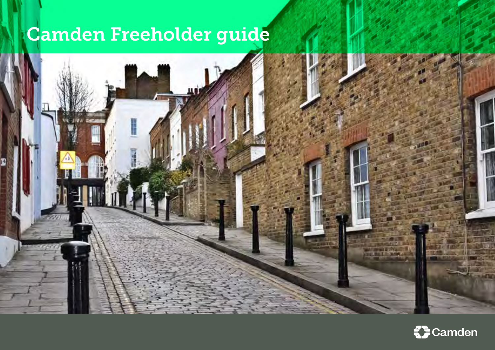# Camden Freeholder guide



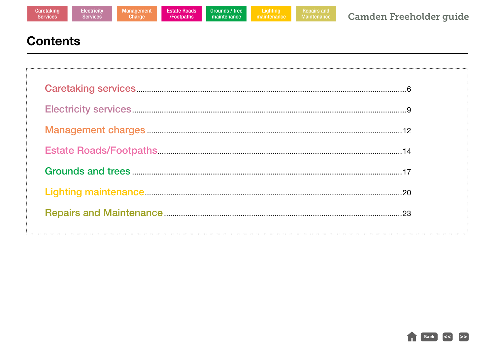### **Contents**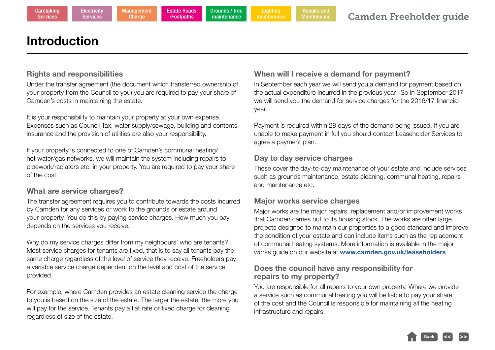### **Introduction**

#### **Rights and responsibilities**

Under the transfer agreement (the document which transferred ownership of your property from the Council to you) you are required to pay your share of Camden's costs in maintaining the estate.

It is your responsibility to maintain your property at your own expense. Expenses such as Council Tax, water supply/sewage, building and contents insurance and the provision of utilities are also your responsibility.

If your property is connected to one of Camden's communal heating/ hot water/gas networks, we will maintain the system including repairs to pipework/radiators etc. in your property. You are required to pay your share of the cost.

#### **What are service charges?**

The transfer agreement requires you to contribute towards the costs incurred by Camden for any services or work to the grounds or estate around your property. You do this by paying service charges. How much you pay depends on the services you receive.

Why do my service charges differ from my neighbours' who are tenants? Most service charges for tenants are fixed, that is to say all tenants pay the same charge regardless of the level of service they receive. Freeholders pay a variable service charge dependent on the level and cost of the service provided.

For example, where Camden provides an estate cleaning service the charge to you is based on the size of the estate. The larger the estate, the more you will pay for the service. Tenants pay a flat rate or fixed charge for cleaning regardless of size of the estate.

#### **When will I receive a demand for payment?**

In September each year we will send you a demand for payment based on the actual expenditure incurred in the previous year. So in September 2017 we will send you the demand for service charges for the 2016/17 financial year.

Payment is required within 28 days of the demand being issued. If you are unable to make payment in full you should contact Leaseholder Services to agree a payment plan.

#### **Day to day service charges**

These cover the day-to-day maintenance of your estate and include services such as grounds maintenance, estate cleaning, communal heating, repairs and maintenance etc.

#### **Major works service charges**

Major works are the major repairs, replacement and/or improvement works that Camden carries out to its housing stock. The works are often large projects designed to maintain our properties to a good standard and improve the condition of your estate and can include items such as the replacement of communal heating systems. More information is available in the major works guide on our website at **[www.camden.gov.uk/leaseholders](http://www.camden.gov.uk/leaseholders)**.

#### **Does the council have any responsibility for repairs to my property?**

You are responsible for all repairs to your own property. Where we provide a service such as communal heating you will be liable to pay your share of the cost and the Council is responsible for maintaining all the heating infrastructure and repairs.

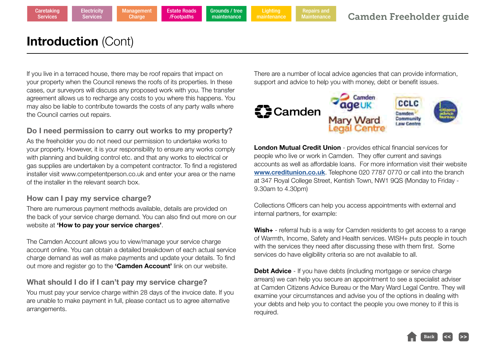**Lighting** Repairs and **Maintenance** 

### **Introduction (Cont)**

If you live in a terraced house, there may be roof repairs that impact on your property when the Council renews the roofs of its properties. In these cases, our surveyors will discuss any proposed work with you. The transfer agreement allows us to recharge any costs to you where this happens. You may also be liable to contribute towards the costs of any party walls where the Council carries out repairs.

#### **Do I need permission to carry out works to my property?**

As the freeholder you do not need our permission to undertake works to your property. However, it is your responsibility to ensure any works comply with planning and building control etc. and that any works to electrical or gas supplies are undertaken by a competent contractor. To find a registered installer visit www.competentperson.co.uk and enter your area or the name of the installer in the relevant search box.

#### **How can I pay my service charge?**

There are numerous payment methods available, details are provided on the back of your service charge demand. You can also find out more on our website at **'How to pay your service charges'**.

The Camden Account allows you to view/manage your service charge account online. You can obtain a detailed breakdown of each actual service charge demand as well as make payments and update your details. To find out more and register go to the **'Camden Account'** link on our website.

#### **What should I do if I can't pay my service charge?**

You must pay your service charge within 28 days of the invoice date. If you are unable to make payment in full, please contact us to agree alternative arrangements.

There are a number of local advice agencies that can provide information, support and advice to help you with money, debt or benefit issues.



**London Mutual Credit Union** - provides ethical financial services for people who live or work in Camden. They offer current and savings accounts as well as affordable loans. For more information visit their website **[www.creditunion.co.uk](http://www.creditunion.co.uk)**. Telephone 020 7787 0770 or call into the branch at 347 Royal College Street, Kentish Town, NW1 9QS (Monday to Friday - 9.30am to 4.30pm)

Collections Officers can help you access appointments with external and internal partners, for example:

**Wish+** - referral hub is a way for Camden residents to get access to a range of Warmth, Income, Safety and Health services. WISH+ puts people in touch with the services they need after discussing these with them first. Some services do have eligibility criteria so are not available to all.

**Debt Advice** - If you have debts (including mortgage or service charge arrears) we can help you secure an appointment to see a specialist adviser at Camden Citizens Advice Bureau or the Mary Ward Legal Centre. They will examine your circumstances and advise you of the options in dealing with your debts and help you to contact the people you owe money to if this is required.

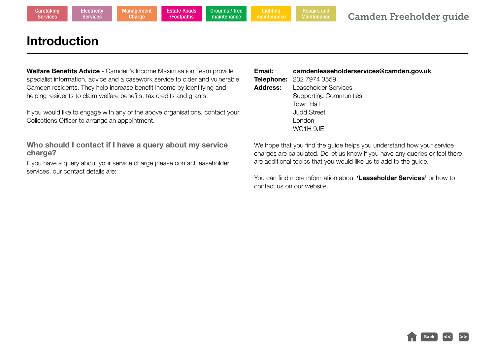### **Introduction**

**Welfare Benefits Advice** - Camden's Income Maximisation Team provide specialist information, advice and a casework service to older and vulnerable Camden residents. They help increase benefit income by identifying and helping residents to claim welfare benefits, tax credits and grants.

If you would like to engage with any of the above organisations, contact your Collections Officer to arrange an appointment.

#### **Who should I contact if I have a query about my service charge?**

If you have a query about your service charge please contact leaseholder services, our contact details are:

| Email:   | camdenleaseholderservices@camden.gov.uk |
|----------|-----------------------------------------|
|          | Telephone: 202 7974 3559                |
| Address: | Leaseholder Services                    |
|          | <b>Supporting Communities</b>           |
|          | <b>Town Hall</b>                        |
|          | Judd Street                             |
|          | London.                                 |
|          | WC1H 9JE                                |

Repairs and **Maintenance** 

We hope that you find the guide helps you understand how your service charges are calculated. Do let us know if you have any queries or feel there are additional topics that you would like us to add to the guide.

You can find more information about **'Leaseholder Services'** or how to contact us on our website.

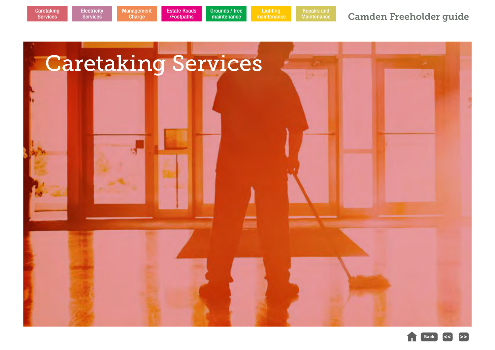

**Lighting** 

Grounds / tree maintenance

Repairs and Maintenance

**Caretaking Services** 

**Electricity** Services

Management Charge

Estate Roads /Footpaths

 $Back \mid \ll \mid \ll \rrr$ 

Camden Freeholder guide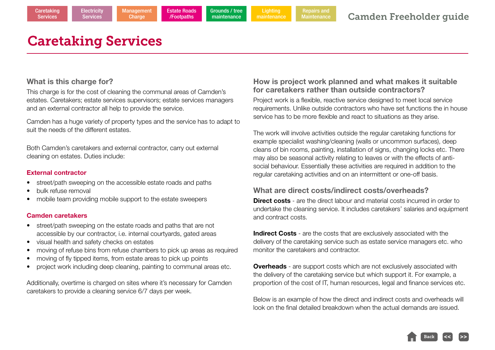# Caretaking Services

**Electricity Services** 

#### **What is this charge for?**

This charge is for the cost of cleaning the communal areas of Camden's estates. Caretakers; estate services supervisors; estate services managers and an external contractor all help to provide the service.

Camden has a huge variety of property types and the service has to adapt to suit the needs of the different estates.

Both Camden's caretakers and external contractor, carry out external cleaning on estates. Duties include:

#### **External contractor**

- street/path sweeping on the accessible estate roads and paths
- bulk refuse removal
- mobile team providing mobile support to the estate sweepers

#### **Camden caretakers**

- street/path sweeping on the estate roads and paths that are not accessible by our contractor, i.e. internal courtyards, gated areas
- visual health and safety checks on estates
- moving of refuse bins from refuse chambers to pick up areas as required
- moving of fly tipped items, from estate areas to pick up points
- project work including deep cleaning, painting to communal areas etc.

Additionally, overtime is charged on sites where it's necessary for Camden caretakers to provide a cleaning service 6/7 days per week.

#### **How is project work planned and what makes it suitable for caretakers rather than outside contractors?**

Project work is a flexible, reactive service designed to meet local service requirements. Unlike outside contractors who have set functions the in house service has to be more flexible and react to situations as they arise.

The work will involve activities outside the regular caretaking functions for example specialist washing/cleaning (walls or uncommon surfaces), deep cleans of bin rooms, painting, installation of signs, changing locks etc. There may also be seasonal activity relating to leaves or with the effects of antisocial behaviour. Essentially these activities are required in addition to the regular caretaking activities and on an intermittent or one-off basis.

#### **What are direct costs/indirect costs/overheads?**

**Direct costs** - are the direct labour and material costs incurred in order to undertake the cleaning service. It includes caretakers' salaries and equipment and contract costs.

**Indirect Costs** - are the costs that are exclusively associated with the delivery of the caretaking service such as estate service managers etc. who monitor the caretakers and contractor.

**Overheads** - are support costs which are not exclusively associated with the delivery of the caretaking service but which support it. For example, a proportion of the cost of IT, human resources, legal and finance services etc.

Below is an example of how the direct and indirect costs and overheads will look on the final detailed breakdown when the actual demands are issued.

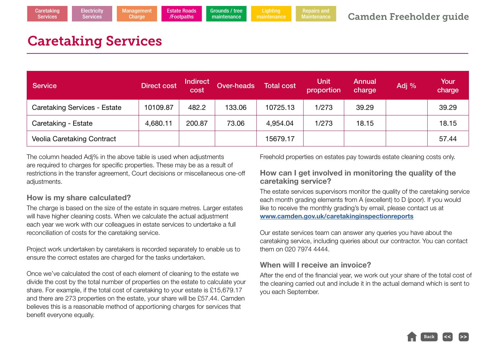# Caretaking Services

**Services** 

| <b>Service</b>                      | Direct cost | <b>Indirect</b><br>cost | Over-heads | <b>Total cost</b> | Unit<br>proportion | Annual<br>charge | Adj % | Your<br>charge |
|-------------------------------------|-------------|-------------------------|------------|-------------------|--------------------|------------------|-------|----------------|
| <b>Caretaking Services - Estate</b> | 10109.87    | 482.2                   | 133.06     | 10725.13          | 1/273              | 39.29            |       | 39.29          |
| Caretaking - Estate                 | 4,680.11    | 200.87                  | 73.06      | 4,954.04          | 1/273              | 18.15            |       | 18.15          |
| Veolia Caretaking Contract          |             |                         |            | 15679.17          |                    |                  |       | 57.44          |

The column headed Adj% in the above table is used when adjustments are required to charges for specific properties. These may be as a result of restrictions in the transfer agreement, Court decisions or miscellaneous one-off adjustments.

#### **How is my share calculated?**

The charge is based on the size of the estate in square metres. Larger estates will have higher cleaning costs. When we calculate the actual adjustment each year we work with our colleagues in estate services to undertake a full reconciliation of costs for the caretaking service.

Project work undertaken by caretakers is recorded separately to enable us to ensure the correct estates are charged for the tasks undertaken.

Once we've calculated the cost of each element of cleaning to the estate we divide the cost by the total number of properties on the estate to calculate your share. For example, if the total cost of caretaking to your estate is £15,679.17 and there are 273 properties on the estate, your share will be £57.44. Camden believes this is a reasonable method of apportioning charges for services that benefit everyone equally.

Freehold properties on estates pay towards estate cleaning costs only.

#### **How can I get involved in monitoring the quality of the caretaking service?**

The estate services supervisors monitor the quality of the caretaking service each month grading elements from A (excellent) to D (poor). If you would like to receive the monthly grading's by email, please contact us at **www.camden.gov.uk/caretakinginspectionreports**

Our estate services team can answer any queries you have about the caretaking service, including queries about our contractor. You can contact them on 020 7974 4444.

#### **When will I receive an invoice?**

After the end of the financial year, we work out your share of the total cost of the cleaning carried out and include it in the actual demand which is sent to you each September.

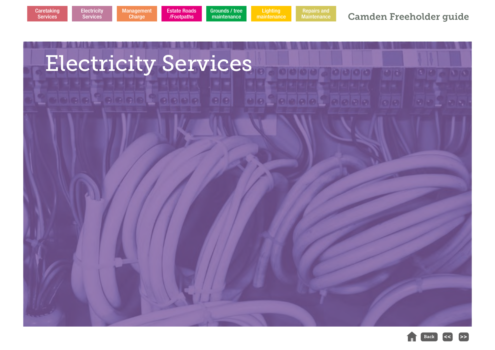

**Charge** 

Camden Freeholder guide



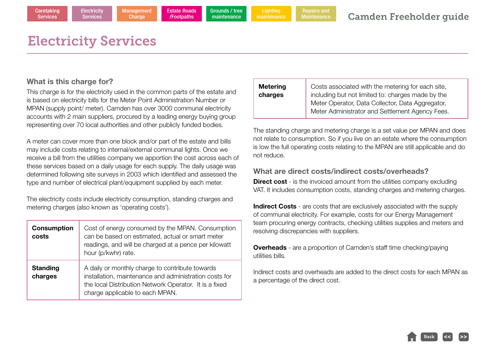### Electricity Services

**Electricity Services** 

#### **What is this charge for?**

This charge is for the electricity used in the common parts of the estate and is based on electricity bills for the Meter Point Administration Number or MPAN (supply point/ meter). Camden has over 3000 communal electricity accounts with 2 main suppliers, procured by a leading energy buying group representing over 70 local authorities and other publicly funded bodies.

A meter can cover more than one block and/or part of the estate and bills may include costs relating to internal/external communal lights. Once we receive a bill from the utilities company we apportion the cost across each of these services based on a daily usage for each supply. The daily usage was determined following site surveys in 2003 which identified and assessed the type and number of electrical plant/equipment supplied by each meter.

The electricity costs include electricity consumption, standing charges and metering charges (also known as 'operating costs').

| <b>Consumption</b><br>costs | Cost of energy consumed by the MPAN. Consumption<br>can be based on estimated, actual or smart meter<br>readings, and will be charged at a pence per kilowatt<br>hour (p/kwhr) rate.                   |
|-----------------------------|--------------------------------------------------------------------------------------------------------------------------------------------------------------------------------------------------------|
| <b>Standing</b><br>charges  | A daily or monthly charge to contribute towards<br>installation, maintenance and administration costs for<br>the local Distribution Network Operator. It is a fixed<br>charge applicable to each MPAN. |

| <b>Metering</b> | Costs associated with the metering for each site,                                                   |
|-----------------|-----------------------------------------------------------------------------------------------------|
| charges         | including but not limited to: charges made by the                                                   |
|                 | Meter Operator, Data Collector, Data Aggregator,<br>Meter Administrator and Settlement Agency Fees. |

The standing charge and metering charge is a set value per MPAN and does not relate to consumption. So if you live on an estate where the consumption is low the full operating costs relating to the MPAN are still applicable and do not reduce.

#### **What are direct costs/indirect costs/overheads?**

**Direct cost** - is the invoiced amount from the utilities company excluding VAT. It includes consumption costs, standing charges and metering charges.

**Indirect Costs** - are costs that are exclusively associated with the supply of communal electricity. For example, costs for our Energy Management team procuring energy contracts, checking utilities supplies and meters and resolving discrepancies with suppliers.

**Overheads** - are a proportion of Camden's staff time checking/paying utilities bills.

Indirect costs and overheads are added to the direct costs for each MPAN as a percentage of the direct cost.

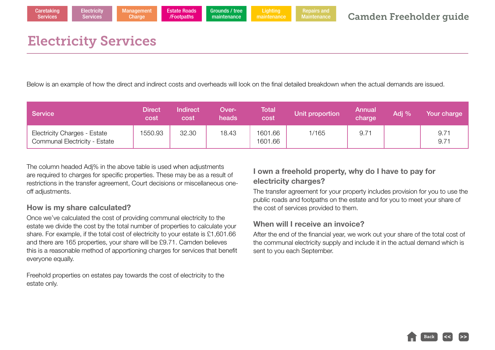# Electricity Services

**Electricity Services** 

Below is an example of how the direct and indirect costs and overheads will look on the final detailed breakdown when the actual demands are issued.

| <b>Service</b>                                                       | <b>Direct</b><br>cost | <b>Indirect</b><br>cost | Over-<br>heads | <b>Total</b><br>cost | Annual<br>Adj %<br>Unit proportion<br>charge |      | Your charge  |
|----------------------------------------------------------------------|-----------------------|-------------------------|----------------|----------------------|----------------------------------------------|------|--------------|
| <b>Electricity Charges - Estate</b><br>Communal Electricity - Estate | 1550.93               | 32.30                   | 18.43          | 1601.66<br>1601.66   | 1/165                                        | 9.71 | 9.71<br>9.71 |

The column headed Adj% in the above table is used when adjustments are required to charges for specific properties. These may be as a result of restrictions in the transfer agreement, Court decisions or miscellaneous oneoff adjustments.

#### **How is my share calculated?**

Once we've calculated the cost of providing communal electricity to the estate we divide the cost by the total number of properties to calculate your share. For example, if the total cost of electricity to your estate is £1,601.66 and there are 165 properties, your share will be £9.71. Camden believes this is a reasonable method of apportioning charges for services that benefit everyone equally.

Freehold properties on estates pay towards the cost of electricity to the estate only.

#### **I own a freehold property, why do I have to pay for electricity charges?**

The transfer agreement for your property includes provision for you to use the public roads and footpaths on the estate and for you to meet your share of the cost of services provided to them.

#### **When will I receive an invoice?**

After the end of the financial year, we work out your share of the total cost of the communal electricity supply and include it in the actual demand which is sent to you each September.

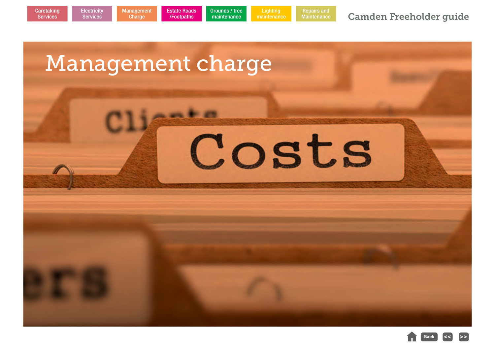

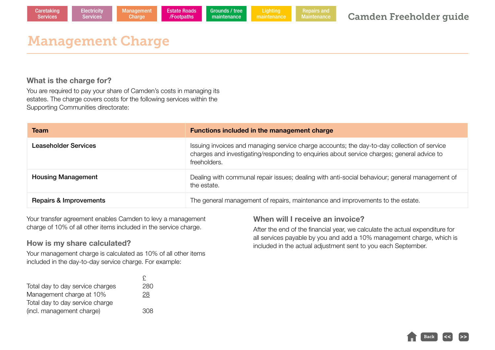## Management Charge

**Electricity Services** 

#### **What is the charge for?**

You are required to pay your share of Camden's costs in managing its estates. The charge covers costs for the following services within the Supporting Communities directorate:

| <b>Team</b>               | <b>Functions included in the management charge</b>                                                                                                                                                        |
|---------------------------|-----------------------------------------------------------------------------------------------------------------------------------------------------------------------------------------------------------|
| Leaseholder Services      | Issuing invoices and managing service charge accounts; the day-to-day collection of service<br>charges and investigating/responding to enquiries about service charges; general advice to<br>freeholders. |
| <b>Housing Management</b> | Dealing with communal repair issues; dealing with anti-social behaviour; general management of<br>the estate.                                                                                             |
| Repairs & Improvements    | The general management of repairs, maintenance and improvements to the estate.                                                                                                                            |

Your transfer agreement enables Camden to levy a management charge of 10% of all other items included in the service charge.

#### **How is my share calculated?**

Your management charge is calculated as 10% of all other items included in the day-to-day service charge. For example:

|                                  | Ł,  |
|----------------------------------|-----|
| Total day to day service charges | 280 |
| Management charge at 10%         | 28  |
| Total day to day service charge  |     |
| (incl. management charge)        | 308 |

#### **When will I receive an invoice?**

After the end of the financial year, we calculate the actual expenditure for all services payable by you and add a 10% management charge, which is included in the actual adjustment sent to you each September.

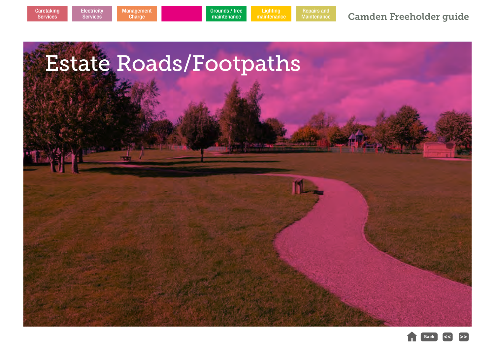**Lighting** Repairs and Maintenance



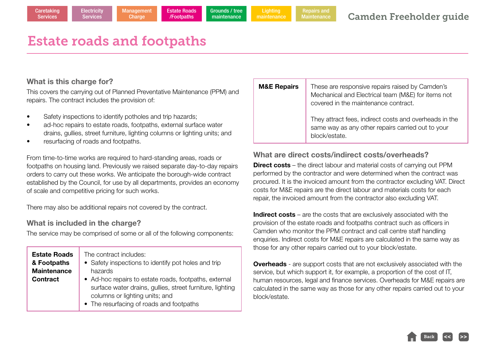## Estate roads and footpaths

**Electricity Services** 

#### **What is this charge for?**

This covers the carrying out of Planned Preventative Maintenance (PPM) and repairs. The contract includes the provision of:

- Safety inspections to identify potholes and trip hazards;
- ad-hoc repairs to estate roads, footpaths, external surface water drains, gullies, street furniture, lighting columns or lighting units; and
- resurfacing of roads and footpaths.

From time-to-time works are required to hard-standing areas, roads or footpaths on housing land. Previously we raised separate day-to-day repairs orders to carry out these works. We anticipate the borough-wide contract established by the Council, for use by all departments, provides an economy of scale and competitive pricing for such works.

There may also be additional repairs not covered by the contract.

#### **What is included in the charge?**

The service may be comprised of some or all of the following components:

| <b>Estate Roads</b> | The contract includes:                                                                                                                                                                           |
|---------------------|--------------------------------------------------------------------------------------------------------------------------------------------------------------------------------------------------|
| & Footpaths         | • Safety inspections to identify pot holes and trip                                                                                                                                              |
| <b>Maintenance</b>  | hazards                                                                                                                                                                                          |
| <b>Contract</b>     | • Ad-hoc repairs to estate roads, footpaths, external<br>surface water drains, gullies, street furniture, lighting<br>columns or lighting units; and<br>• The resurfacing of roads and footpaths |

| <b>M&amp;E Repairs</b> | These are responsive repairs raised by Camden's<br>Mechanical and Electrical team (M&E) for items not<br>covered in the maintenance contract. |
|------------------------|-----------------------------------------------------------------------------------------------------------------------------------------------|
|                        | They attract fees, indirect costs and overheads in the<br>same way as any other repairs carried out to your<br>block/estate.                  |

#### **What are direct costs/indirect costs/overheads?**

**Direct costs** – the direct labour and material costs of carrying out PPM performed by the contractor and were determined when the contract was procured. It is the invoiced amount from the contractor excluding VAT. Direct costs for M&E repairs are the direct labour and materials costs for each repair, the invoiced amount from the contractor also excluding VAT.

**Indirect costs** – are the costs that are exclusively associated with the provision of the estate roads and footpaths contract such as officers in Camden who monitor the PPM contract and call centre staff handling enquiries. Indirect costs for M&E repairs are calculated in the same way as those for any other repairs carried out to your block/estate.

**Overheads** - are support costs that are not exclusively associated with the service, but which support it, for example, a proportion of the cost of IT, human resources, legal and finance services. Overheads for M&E repairs are calculated in the same way as those for any other repairs carried out to your block/estate.

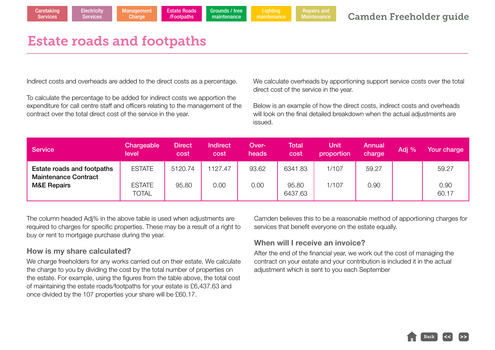## Estate roads and footpaths

**Electricity Services** 

Indirect costs and overheads are added to the direct costs as a percentage.

To calculate the percentage to be added for indirect costs we apportion the expenditure for call centre staff and officers relating to the management of the contract over the total direct cost of the service in the year.

We calculate overheads by apportioning support service costs over the total direct cost of the service in the year.

Below is an example of how the direct costs, indirect costs and overheads will look on the final detailed breakdown when the actual adjustments are issued.

| <b>Service</b>                                                   | Chargeable<br>level    | <b>Direct</b><br>cost | Indirect<br>cost | Over-<br>heads | Total<br>cost    | Unit<br>proportion | Annual<br>charge | Adj % | Your charge   |
|------------------------------------------------------------------|------------------------|-----------------------|------------------|----------------|------------------|--------------------|------------------|-------|---------------|
| <b>Estate roads and footpaths</b><br><b>Maintenance Contract</b> | <b>ESTATE</b>          | 5120.74               | 1127.47          | 93.62          | 6341.83          | 1/107              | 59.27            |       | 59.27         |
| <b>M&amp;E Repairs</b>                                           | <b>ESTATE</b><br>TOTAL | 95.80                 | 0.00             | 0.00           | 95.80<br>6437.63 | 1/107              | 0.90             |       | 0.90<br>60.17 |

The column headed Adj% in the above table is used when adjustments are required to charges for specific properties. These may be a result of a right to buy or rent to mortgage purchase during the year.

#### **How is my share calculated?**

We charge freeholders for any works carried out on their estate. We calculate the charge to you by dividing the cost by the total number of properties on the estate. For example, using the figures from the table above, the total cost of maintaining the estate roads/footpaths for your estate is £6,437.63 and once divided by the 107 properties your share will be £60.17.

Camden believes this to be a reasonable method of apportioning charges for services that benefit everyone on the estate equally.

#### **When will I receive an invoice?**

After the end of the financial year, we work out the cost of managing the contract on your estate and your contribution is included it in the actual adjustment which is sent to you each September

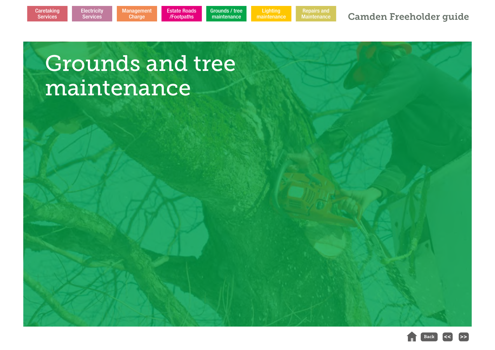**Caretaking Services** 

**Electricity** Services

Camden Freeholder guide

# Grounds and tree maintenance

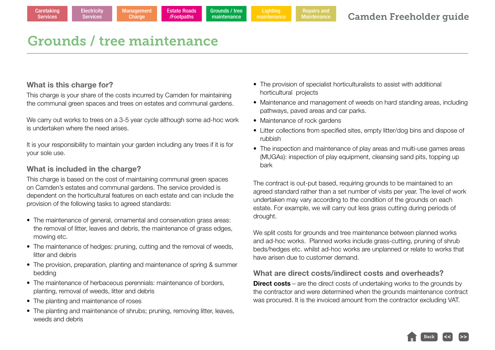# Grounds / tree maintenance

**Electricity Services** 

#### **What is this charge for?**

This charge is your share of the costs incurred by Camden for maintaining the communal green spaces and trees on estates and communal gardens.

We carry out works to trees on a 3-5 year cycle although some ad-hoc work is undertaken where the need arises.

It is your responsibility to maintain your garden including any trees if it is for your sole use.

#### **What is included in the charge?**

This charge is based on the cost of maintaining communal green spaces on Camden's estates and communal gardens. The service provided is dependent on the horticultural features on each estate and can include the provision of the following tasks to agreed standards:

- The maintenance of general, ornamental and conservation grass areas: the removal of litter, leaves and debris, the maintenance of grass edges, mowing etc.
- The maintenance of hedges: pruning, cutting and the removal of weeds, litter and debris
- The provision, preparation, planting and maintenance of spring & summer bedding
- The maintenance of herbaceous perennials: maintenance of borders, planting, removal of weeds, litter and debris
- The planting and maintenance of roses
- The planting and maintenance of shrubs; pruning, removing litter, leaves, weeds and debris
- The provision of specialist horticulturalists to assist with additional horticultural projects
- Maintenance and management of weeds on hard standing areas, including pathways, paved areas and car parks.
- Maintenance of rock gardens
- Litter collections from specified sites, empty litter/dog bins and dispose of rubbish
- The inspection and maintenance of play areas and multi-use games areas (MUGAs): inspection of play equipment, cleansing sand pits, topping up bark

The contract is out-put based, requiring grounds to be maintained to an agreed standard rather than a set number of visits per year. The level of work undertaken may vary according to the condition of the grounds on each estate. For example, we will carry out less grass cutting during periods of drought.

We split costs for grounds and tree maintenance between planned works and ad-hoc works. Planned works include grass-cutting, pruning of shrub beds/hedges etc. whilst ad-hoc works are unplanned or relate to works that have arisen due to customer demand.

#### **What are direct costs/indirect costs and overheads?**

**Direct costs** – are the direct costs of undertaking works to the grounds by the contractor and were determined when the grounds maintenance contract was procured. It is the invoiced amount from the contractor excluding VAT.

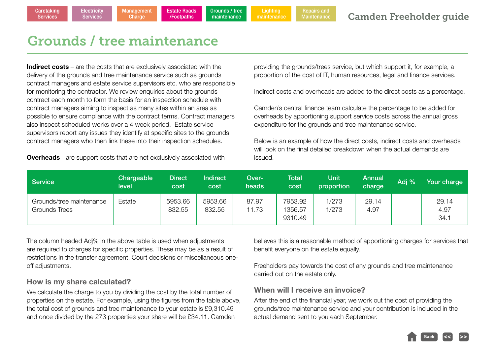# Grounds / tree maintenance

**Electricity Services** 

**Indirect costs** – are the costs that are exclusively associated with the delivery of the grounds and tree maintenance service such as grounds contract managers and estate service supervisors etc. who are responsible for monitoring the contractor. We review enquiries about the grounds contract each month to form the basis for an inspection schedule with contract managers aiming to inspect as many sites within an area as possible to ensure compliance with the contract terms. Contract managers also inspect scheduled works over a 4 week period. Estate service supervisors report any issues they identify at specific sites to the grounds contract managers who then link these into their inspection schedules.

**Overheads** - are support costs that are not exclusively associated with

providing the grounds/trees service, but which support it, for example, a proportion of the cost of IT, human resources, legal and finance services.

Indirect costs and overheads are added to the direct costs as a percentage.

Camden's central finance team calculate the percentage to be added for overheads by apportioning support service costs across the annual gross expenditure for the grounds and tree maintenance service.

Below is an example of how the direct costs, indirect costs and overheads will look on the final detailed breakdown when the actual demands are issued.

| <b>Service</b>                                   | Chargeable<br>level | <b>Direct</b><br>cost | <b>Indirect</b><br>cost | Over-<br>heads | <b>Total</b><br>cost          | <b>Unit</b><br>proportion | <b>Annual</b><br>charge | Adj % | Your charge           |
|--------------------------------------------------|---------------------|-----------------------|-------------------------|----------------|-------------------------------|---------------------------|-------------------------|-------|-----------------------|
| Grounds/tree maintenance<br><b>Grounds Trees</b> | Estate              | 5953.66<br>832.55     | 5953.66<br>832.55       | 87.97<br>11.73 | 7953.92<br>1356.57<br>9310.49 | 1/273<br>1/273            | 29.14<br>4.97           |       | 29.14<br>4.97<br>34.1 |

The column headed Adj% in the above table is used when adjustments are required to charges for specific properties. These may be as a result of restrictions in the transfer agreement, Court decisions or miscellaneous oneoff adjustments.

#### **How is my share calculated?**

We calculate the charge to you by dividing the cost by the total number of properties on the estate. For example, using the figures from the table above, the total cost of grounds and tree maintenance to your estate is £9,310.49 and once divided by the 273 properties your share will be £34.11. Camden

believes this is a reasonable method of apportioning charges for services that benefit everyone on the estate equally.

Freeholders pay towards the cost of any grounds and tree maintenance carried out on the estate only.

#### **When will I receive an invoice?**

After the end of the financial year, we work out the cost of providing the grounds/tree maintenance service and your contribution is included in the actual demand sent to you each September.

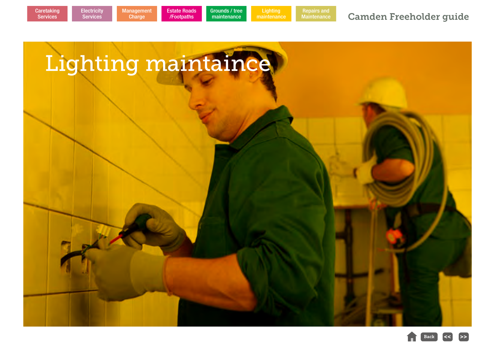

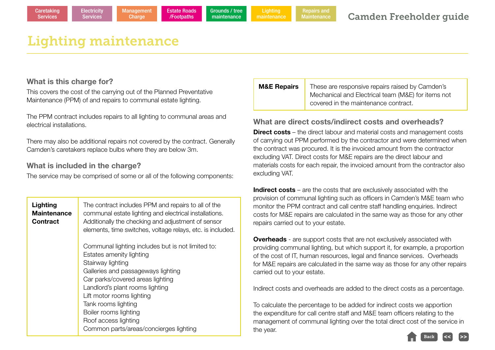# Lighting maintenance

**Electricity** Services

#### **What is this charge for?**

This covers the cost of the carrying out of the Planned Preventative Maintenance (PPM) of and repairs to communal estate lighting.

The PPM contract includes repairs to all lighting to communal areas and electrical installations.

There may also be additional repairs not covered by the contract. Generally Camden's caretakers replace bulbs where they are below 3m.

#### **What is included in the charge?**

The service may be comprised of some or all of the following components:

**Lighting Maintenance Contract** The contract includes PPM and repairs to all of the communal estate lighting and electrical installations. Additionally the checking and adjustment of sensor elements, time switches, voltage relays, etc. is included. Communal lighting includes but is not limited to: Estates amenity lighting Stairway lighting Galleries and passageways lighting Car parks/covered areas lighting Landlord's plant rooms lighting Lift motor rooms lighting Tank rooms lighting Boiler rooms lighting Roof access lighting Common parts/areas/concierges lighting

| <b>M&amp;E Repairs</b> | These are responsive repairs raised by Camden's    |  |  |  |  |  |
|------------------------|----------------------------------------------------|--|--|--|--|--|
|                        | Mechanical and Electrical team (M&E) for items not |  |  |  |  |  |
|                        | covered in the maintenance contract.               |  |  |  |  |  |

#### **What are direct costs/indirect costs and overheads?**

**Direct costs** – the direct labour and material costs and management costs of carrying out PPM performed by the contractor and were determined when the contract was procured. It is the invoiced amount from the contractor excluding VAT. Direct costs for M&E repairs are the direct labour and materials costs for each repair, the invoiced amount from the contractor also excluding VAT.

**Indirect costs** – are the costs that are exclusively associated with the provision of communal lighting such as officers in Camden's M&E team who monitor the PPM contract and call centre staff handling enquiries. Indirect costs for M&E repairs are calculated in the same way as those for any other repairs carried out to your estate.

**Overheads** - are support costs that are not exclusively associated with providing communal lighting, but which support it, for example, a proportion of the cost of IT, human resources, legal and finance services. Overheads for M&E repairs are calculated in the same way as those for any other repairs carried out to your estate.

Indirect costs and overheads are added to the direct costs as a percentage.

To calculate the percentage to be added for indirect costs we apportion the expenditure for call centre staff and M&E team officers relating to the management of communal lighting over the total direct cost of the service in the year.

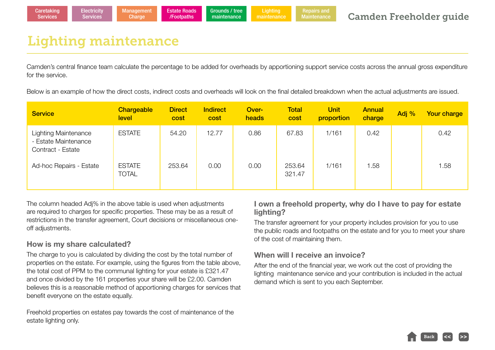# Lighting maintenance

**Electricity Services** 

Camden's central finance team calculate the percentage to be added for overheads by apportioning support service costs across the annual gross expenditure for the service.

Below is an example of how the direct costs, indirect costs and overheads will look on the final detailed breakdown when the actual adjustments are issued.

| <b>Service</b>                                                           | <b>Chargeable</b><br>level | <b>Direct</b><br>cost | <b>Indirect</b><br>cost | Over-<br>heads | <b>Total</b><br>cost | <b>Unit</b><br>proportion | <b>Annual</b><br>charge | Adj % | <b>Your charge</b> |
|--------------------------------------------------------------------------|----------------------------|-----------------------|-------------------------|----------------|----------------------|---------------------------|-------------------------|-------|--------------------|
| <b>Lighting Maintenance</b><br>- Estate Maintenance<br>Contract - Estate | <b>ESTATE</b>              | 54.20                 | 12.77                   | 0.86           | 67.83                | 1/161                     | 0.42                    |       | 0.42               |
| Ad-hoc Repairs - Estate                                                  | <b>ESTATE</b><br>TOTAL     | 253.64                | 0.00                    | 0.00           | 253.64<br>321.47     | 1/161                     | 1.58                    |       | 1.58               |

The column headed Adj% in the above table is used when adjustments are required to charges for specific properties. These may be as a result of restrictions in the transfer agreement, Court decisions or miscellaneous oneoff adjustments.

#### **How is my share calculated?**

The charge to you is calculated by dividing the cost by the total number of properties on the estate. For example, using the figures from the table above, the total cost of PPM to the communal lighting for your estate is £321.47 and once divided by the 161 properties your share will be £2.00. Camden believes this is a reasonable method of apportioning charges for services that benefit everyone on the estate equally.

Freehold properties on estates pay towards the cost of maintenance of the estate lighting only.

#### **I own a freehold property, why do I have to pay for estate lighting?**

The transfer agreement for your property includes provision for you to use the public roads and footpaths on the estate and for you to meet your share of the cost of maintaining them.

#### **When will I receive an invoice?**

After the end of the financial year, we work out the cost of providing the lighting maintenance service and your contribution is included in the actual demand which is sent to you each September.

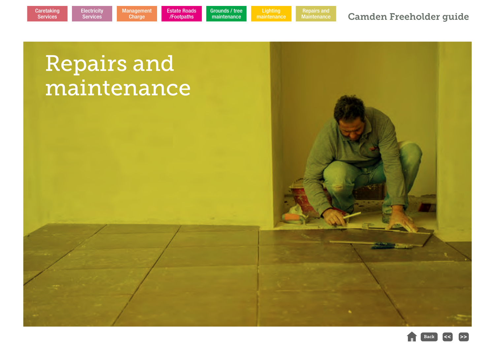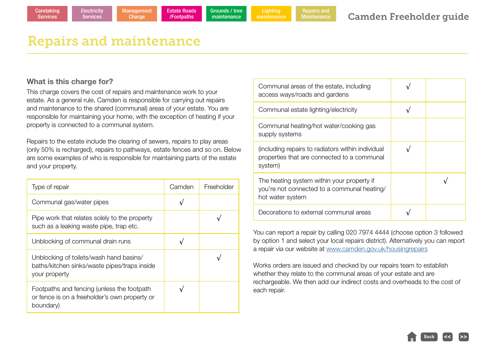**Electricity** Services

#### **What is this charge for?**

This charge covers the cost of repairs and maintenance work to your estate. As a general rule, Camden is responsible for carrying out repairs and maintenance to the shared (communal) areas of your estate. You are responsible for maintaining your home, with the exception of heating if your property is connected to a communal system.

Repairs to the estate include the clearing of sewers, repairs to play areas (only 50% is recharged), repairs to pathways, estate fences and so on. Below are some examples of who is responsible for maintaining parts of the estate and your property.

| Type of repair                                                                                           | Camden | Freeholder |
|----------------------------------------------------------------------------------------------------------|--------|------------|
| Communal gas/water pipes                                                                                 |        |            |
| Pipe work that relates solely to the property<br>such as a leaking waste pipe, trap etc.                 |        |            |
| Unblocking of communal drain runs                                                                        |        |            |
| Unblocking of toilets/wash hand basins/<br>baths/kitchen sinks/waste pipes/traps inside<br>your property |        |            |
| Footpaths and fencing (unless the footpath<br>or fence is on a freeholder's own property or<br>boundary) |        |            |

| Communal areas of the estate, including<br>access ways/roads and gardens                                      |  |
|---------------------------------------------------------------------------------------------------------------|--|
| Communal estate lighting/electricity                                                                          |  |
| Communal heating/hot water/cooking gas<br>supply systems                                                      |  |
| (including repairs to radiators within individual<br>properties that are connected to a communal<br>system)   |  |
| The heating system within your property if<br>you're not connected to a communal heating/<br>hot water system |  |
| Decorations to external communal areas                                                                        |  |

You can report a repair by calling 020 7974 4444 (choose option 3 followed by option 1 and select your local repairs district). Alternatively you can report a repair via our website at [www.camden.gov.uk/housingrepairs](http://www.camden.gov.uk/housingrepairs)

Works orders are issued and checked by our repairs team to establish whether they relate to the communal areas of your estate and are rechargeable. We then add our indirect costs and overheads to the cost of each repair.

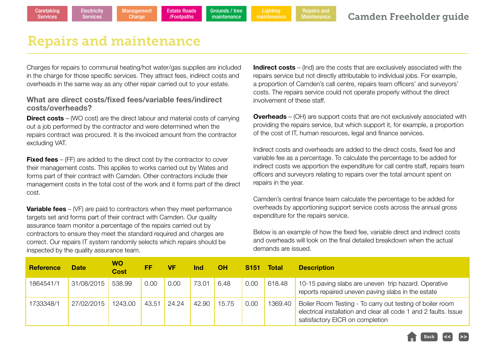**Electricity** Services

Charges for repairs to communal heating/hot water/gas supplies are included in the charge for those specific services. They attract fees, indirect costs and overheads in the same way as any other repair carried out to your estate.

#### **What are direct costs/fixed fees/variable fees/indirect costs/overheads?**

**Direct costs** – (WO cost) are the direct labour and material costs of carrying out a job performed by the contractor and were determined when the repairs contract was procured. It is the invoiced amount from the contractor excluding VAT.

**Fixed fees** – (FF) are added to the direct cost by the contractor to cover their management costs. This applies to works carried out by Wates and forms part of their contract with Camden. Other contractors include their management costs in the total cost of the work and it forms part of the direct cost.

**Variable fees** – (VF) are paid to contractors when they meet performance targets set and forms part of their contract with Camden. Our quality assurance team monitor a percentage of the repairs carried out by contractors to ensure they meet the standard required and charges are correct. Our repairs IT system randomly selects which repairs should be inspected by the quality assurance team.

**Indirect costs** – (Ind) are the costs that are exclusively associated with the repairs service but not directly attributable to individual jobs. For example, a proportion of Camden's call centre, repairs team officers' and surveyors' costs. The repairs service could not operate properly without the direct involvement of these staff.

**Overheads** – (OH) are support costs that are not exclusively associated with providing the repairs service, but which support it, for example, a proportion of the cost of IT, human resources, legal and finance services.

Indirect costs and overheads are added to the direct costs, fixed fee and variable fee as a percentage. To calculate the percentage to be added for indirect costs we apportion the expenditure for call centre staff, repairs team officers and surveyors relating to repairs over the total amount spent on repairs in the year.

Camden's central finance team calculate the percentage to be added for overheads by apportioning support service costs across the annual gross expenditure for the repairs service.

Below is an example of how the fixed fee, variable direct and indirect costs and overheads will look on the final detailed breakdown when the actual demands are issued.

| <b>Reference</b> | <b>Date</b> | <b>WO</b><br><b>Cost</b> | FF    | VF    | <b>Ind</b> | <b>OH</b> | <b>S151</b> | <b>Total</b> | <b>Description</b>                                                                                                                                               |
|------------------|-------------|--------------------------|-------|-------|------------|-----------|-------------|--------------|------------------------------------------------------------------------------------------------------------------------------------------------------------------|
| 1864541/1        | 31/08/2015  | 538.99                   | 0.00  | 0.00  | 73.01      | 6.48      | 0.00        | 618.48       | 10-15 paving slabs are uneven trip hazard. Operative<br>reports repaired uneven paving slabs in the estate                                                       |
| 1733348/1        | 27/02/2015  | 1243.00                  | 43.51 | 24.24 | 42.90      | 15.75     | 0.00        | 1369.40      | Boiler Room Testing - To carry out testing of boiler room<br>electrical installation and clear all code 1 and 2 faults. Issue<br>satisfactory EICR on completion |